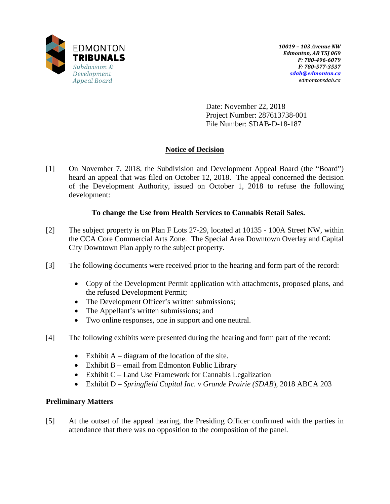

Date: November 22, 2018 Project Number: 287613738-001 File Number: SDAB-D-18-187

## **Notice of Decision**

[1] On November 7, 2018, the Subdivision and Development Appeal Board (the "Board") heard an appeal that was filed on October 12, 2018. The appeal concerned the decision of the Development Authority, issued on October 1, 2018 to refuse the following development:

## **To change the Use from Health Services to Cannabis Retail Sales.**

- [2] The subject property is on Plan F Lots 27-29, located at 10135 100A Street NW, within the CCA Core Commercial Arts Zone. The Special Area Downtown Overlay and Capital City Downtown Plan apply to the subject property.
- [3] The following documents were received prior to the hearing and form part of the record:
	- Copy of the Development Permit application with attachments, proposed plans, and the refused Development Permit;
	- The Development Officer's written submissions;
	- The Appellant's written submissions; and
	- Two online responses, one in support and one neutral.
- [4] The following exhibits were presented during the hearing and form part of the record:
	- Exhibit  $A diagram$  of the location of the site.
	- Exhibit B email from Edmonton Public Library
	- Exhibit C Land Use Framework for Cannabis Legalization
	- Exhibit D *Springfield Capital Inc. v Grande Prairie (SDAB*), 2018 ABCA 203

### **Preliminary Matters**

[5] At the outset of the appeal hearing, the Presiding Officer confirmed with the parties in attendance that there was no opposition to the composition of the panel.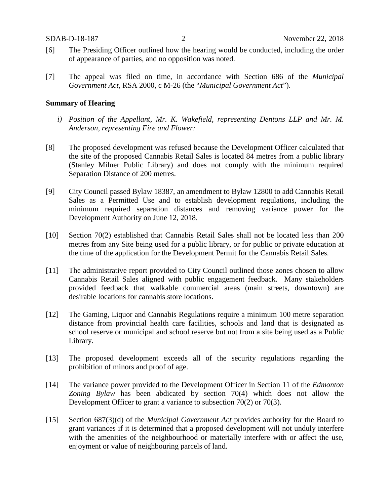- [6] The Presiding Officer outlined how the hearing would be conducted, including the order of appearance of parties, and no opposition was noted.
- [7] The appeal was filed on time, in accordance with Section 686 of the *Municipal Government Act*, RSA 2000, c M-26 (the "*Municipal Government Act*").

#### **Summary of Hearing**

- *i) Position of the Appellant, Mr. K. Wakefield, representing Dentons LLP and Mr. M. Anderson, representing Fire and Flower:*
- [8] The proposed development was refused because the Development Officer calculated that the site of the proposed Cannabis Retail Sales is located 84 metres from a public library (Stanley Milner Public Library) and does not comply with the minimum required Separation Distance of 200 metres.
- [9] City Council passed Bylaw 18387, an amendment to Bylaw 12800 to add Cannabis Retail Sales as a Permitted Use and to establish development regulations, including the minimum required separation distances and removing variance power for the Development Authority on June 12, 2018.
- [10] Section 70(2) established that Cannabis Retail Sales shall not be located less than 200 metres from any Site being used for a public library, or for public or private education at the time of the application for the Development Permit for the Cannabis Retail Sales.
- [11] The administrative report provided to City Council outlined those zones chosen to allow Cannabis Retail Sales aligned with public engagement feedback. Many stakeholders provided feedback that walkable commercial areas (main streets, downtown) are desirable locations for cannabis store locations.
- [12] The Gaming, Liquor and Cannabis Regulations require a minimum 100 metre separation distance from provincial health care facilities, schools and land that is designated as school reserve or municipal and school reserve but not from a site being used as a Public Library.
- [13] The proposed development exceeds all of the security regulations regarding the prohibition of minors and proof of age.
- [14] The variance power provided to the Development Officer in Section 11 of the *Edmonton Zoning Bylaw* has been abdicated by section 70(4) which does not allow the Development Officer to grant a variance to subsection 70(2) or 70(3).
- [15] Section 687(3)(d) of the *Municipal Government Act* provides authority for the Board to grant variances if it is determined that a proposed development will not unduly interfere with the amenities of the neighbourhood or materially interfere with or affect the use, enjoyment or value of neighbouring parcels of land.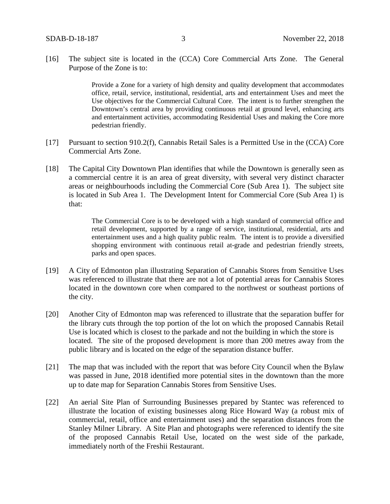[16] The subject site is located in the (CCA) Core Commercial Arts Zone. The General Purpose of the Zone is to:

> Provide a Zone for a variety of high density and quality development that accommodates office, retail, service, institutional, residential, arts and entertainment Uses and meet the Use objectives for the Commercial Cultural Core. The intent is to further strengthen the Downtown's central area by providing continuous retail at ground level, enhancing arts and entertainment activities, accommodating Residential Uses and making the Core more pedestrian friendly.

- [17] Pursuant to section 910.2(f), Cannabis Retail Sales is a Permitted Use in the (CCA) Core Commercial Arts Zone.
- [18] The Capital City Downtown Plan identifies that while the Downtown is generally seen as a commercial centre it is an area of great diversity, with several very distinct character areas or neighbourhoods including the Commercial Core (Sub Area 1). The subject site is located in Sub Area 1. The Development Intent for Commercial Core (Sub Area 1) is that:

The Commercial Core is to be developed with a high standard of commercial office and retail development, supported by a range of service, institutional, residential, arts and entertainment uses and a high quality public realm. The intent is to provide a diversified shopping environment with continuous retail at-grade and pedestrian friendly streets, parks and open spaces.

- [19] A City of Edmonton plan illustrating Separation of Cannabis Stores from Sensitive Uses was referenced to illustrate that there are not a lot of potential areas for Cannabis Stores located in the downtown core when compared to the northwest or southeast portions of the city.
- [20] Another City of Edmonton map was referenced to illustrate that the separation buffer for the library cuts through the top portion of the lot on which the proposed Cannabis Retail Use is located which is closest to the parkade and not the building in which the store is located. The site of the proposed development is more than 200 metres away from the public library and is located on the edge of the separation distance buffer.
- [21] The map that was included with the report that was before City Council when the Bylaw was passed in June, 2018 identified more potential sites in the downtown than the more up to date map for Separation Cannabis Stores from Sensitive Uses.
- [22] An aerial Site Plan of Surrounding Businesses prepared by Stantec was referenced to illustrate the location of existing businesses along Rice Howard Way (a robust mix of commercial, retail, office and entertainment uses) and the separation distances from the Stanley Milner Library. A Site Plan and photographs were referenced to identify the site of the proposed Cannabis Retail Use, located on the west side of the parkade, immediately north of the Freshii Restaurant.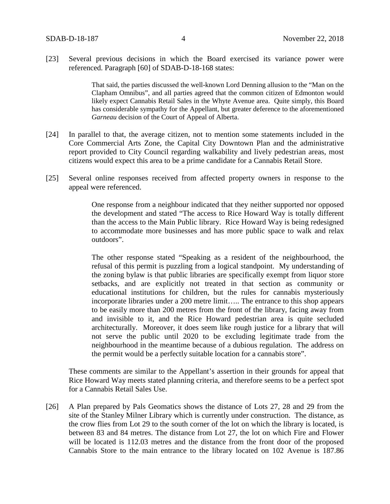[23] Several previous decisions in which the Board exercised its variance power were referenced. Paragraph [60] of SDAB-D-18-168 states:

> That said, the parties discussed the well-known Lord Denning allusion to the "Man on the Clapham Omnibus", and all parties agreed that the common citizen of Edmonton would likely expect Cannabis Retail Sales in the Whyte Avenue area. Quite simply, this Board has considerable sympathy for the Appellant, but greater deference to the aforementioned *Garneau* decision of the Court of Appeal of Alberta.

- [24] In parallel to that, the average citizen, not to mention some statements included in the Core Commercial Arts Zone, the Capital City Downtown Plan and the administrative report provided to City Council regarding walkability and lively pedestrian areas, most citizens would expect this area to be a prime candidate for a Cannabis Retail Store.
- [25] Several online responses received from affected property owners in response to the appeal were referenced.

One response from a neighbour indicated that they neither supported nor opposed the development and stated "The access to Rice Howard Way is totally different than the access to the Main Public library. Rice Howard Way is being redesigned to accommodate more businesses and has more public space to walk and relax outdoors".

The other response stated "Speaking as a resident of the neighbourhood, the refusal of this permit is puzzling from a logical standpoint. My understanding of the zoning bylaw is that public libraries are specifically exempt from liquor store setbacks, and are explicitly not treated in that section as community or educational institutions for children, but the rules for cannabis mysteriously incorporate libraries under a 200 metre limit….. The entrance to this shop appears to be easily more than 200 metres from the front of the library, facing away from and invisible to it, and the Rice Howard pedestrian area is quite secluded architecturally. Moreover, it does seem like rough justice for a library that will not serve the public until 2020 to be excluding legitimate trade from the neighbourhood in the meantime because of a dubious regulation. The address on the permit would be a perfectly suitable location for a cannabis store".

These comments are similar to the Appellant's assertion in their grounds for appeal that Rice Howard Way meets stated planning criteria, and therefore seems to be a perfect spot for a Cannabis Retail Sales Use.

[26] A Plan prepared by Pals Geomatics shows the distance of Lots 27, 28 and 29 from the site of the Stanley Milner Library which is currently under construction. The distance, as the crow flies from Lot 29 to the south corner of the lot on which the library is located, is between 83 and 84 metres. The distance from Lot 27, the lot on which Fire and Flower will be located is 112.03 metres and the distance from the front door of the proposed Cannabis Store to the main entrance to the library located on 102 Avenue is 187.86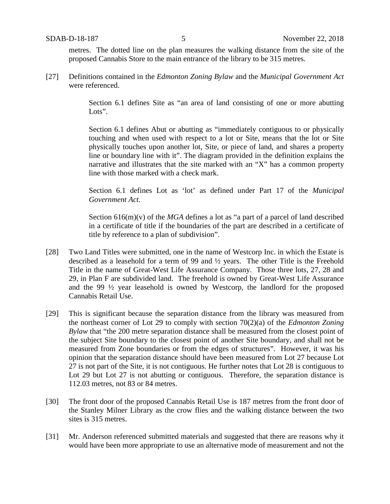metres. The dotted line on the plan measures the walking distance from the site of the proposed Cannabis Store to the main entrance of the library to be 315 metres.

[27] Definitions contained in the *Edmonton Zoning Bylaw* and the *Municipal Government Act* were referenced.

> Section 6.1 defines Site as "an area of land consisting of one or more abutting Lots".

> Section 6.1 defines Abut or abutting as "immediately contiguous to or physically touching and when used with respect to a lot or Site, means that the lot or Site physically touches upon another lot, Site, or piece of land, and shares a property line or boundary line with it". The diagram provided in the definition explains the narrative and illustrates that the site marked with an "X" has a common property line with those marked with a check mark.

> Section 6.1 defines Lot as 'lot' as defined under Part 17 of the *Municipal Government Act*.

> Section 616(m)(v) of the *MGA* defines a lot as "a part of a parcel of land described in a certificate of title if the boundaries of the part are described in a certificate of title by reference to a plan of subdivision".

- [28] Two Land Titles were submitted, one in the name of Westcorp Inc. in which the Estate is described as a leasehold for a term of 99 and ½ years. The other Title is the Freehold Title in the name of Great-West Life Assurance Company. Those three lots, 27, 28 and 29, in Plan F are subdivided land. The freehold is owned by Great-West Life Assurance and the 99 ½ year leasehold is owned by Westcorp, the landlord for the proposed Cannabis Retail Use.
- [29] This is significant because the separation distance from the library was measured from the northeast corner of Lot 29 to comply with section 70(2)(a) of the *Edmonton Zoning Bylaw* that "the 200 metre separation distance shall be measured from the closest point of the subject Site boundary to the closest point of another Site boundary, and shall not be measured from Zone boundaries or from the edges of structures". However, it was his opinion that the separation distance should have been measured from Lot 27 because Lot 27 is not part of the Site, it is not contiguous. He further notes that Lot 28 is contiguous to Lot 29 but Lot 27 is not abutting or contiguous. Therefore, the separation distance is 112.03 metres, not 83 or 84 metres.
- [30] The front door of the proposed Cannabis Retail Use is 187 metres from the front door of the Stanley Milner Library as the crow flies and the walking distance between the two sites is 315 metres.
- [31] Mr. Anderson referenced submitted materials and suggested that there are reasons why it would have been more appropriate to use an alternative mode of measurement and not the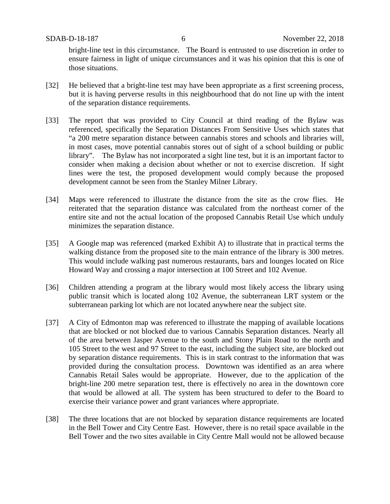bright-line test in this circumstance. The Board is entrusted to use discretion in order to ensure fairness in light of unique circumstances and it was his opinion that this is one of those situations.

- [32] He believed that a bright-line test may have been appropriate as a first screening process, but it is having perverse results in this neighbourhood that do not line up with the intent of the separation distance requirements.
- [33] The report that was provided to City Council at third reading of the Bylaw was referenced, specifically the Separation Distances From Sensitive Uses which states that "a 200 metre separation distance between cannabis stores and schools and libraries will, in most cases, move potential cannabis stores out of sight of a school building or public library". The Bylaw has not incorporated a sight line test, but it is an important factor to consider when making a decision about whether or not to exercise discretion. If sight lines were the test, the proposed development would comply because the proposed development cannot be seen from the Stanley Milner Library.
- [34] Maps were referenced to illustrate the distance from the site as the crow flies. He reiterated that the separation distance was calculated from the northeast corner of the entire site and not the actual location of the proposed Cannabis Retail Use which unduly minimizes the separation distance.
- [35] A Google map was referenced (marked Exhibit A) to illustrate that in practical terms the walking distance from the proposed site to the main entrance of the library is 300 metres. This would include walking past numerous restaurants, bars and lounges located on Rice Howard Way and crossing a major intersection at 100 Street and 102 Avenue.
- [36] Children attending a program at the library would most likely access the library using public transit which is located along 102 Avenue, the subterranean LRT system or the subterranean parking lot which are not located anywhere near the subject site.
- [37] A City of Edmonton map was referenced to illustrate the mapping of available locations that are blocked or not blocked due to various Cannabis Separation distances. Nearly all of the area between Jasper Avenue to the south and Stony Plain Road to the north and 105 Street to the west and 97 Street to the east, including the subject site, are blocked out by separation distance requirements. This is in stark contrast to the information that was provided during the consultation process. Downtown was identified as an area where Cannabis Retail Sales would be appropriate. However, due to the application of the bright-line 200 metre separation test, there is effectively no area in the downtown core that would be allowed at all. The system has been structured to defer to the Board to exercise their variance power and grant variances where appropriate.
- [38] The three locations that are not blocked by separation distance requirements are located in the Bell Tower and City Centre East. However, there is no retail space available in the Bell Tower and the two sites available in City Centre Mall would not be allowed because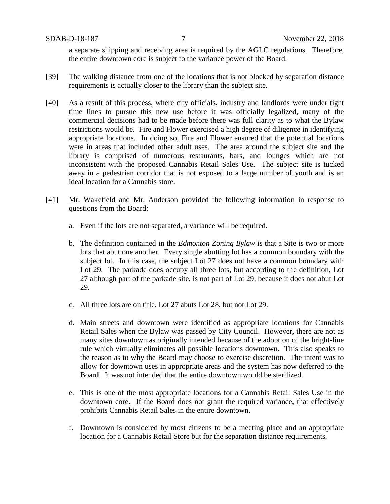a separate shipping and receiving area is required by the AGLC regulations. Therefore, the entire downtown core is subject to the variance power of the Board.

- [39] The walking distance from one of the locations that is not blocked by separation distance requirements is actually closer to the library than the subject site.
- [40] As a result of this process, where city officials, industry and landlords were under tight time lines to pursue this new use before it was officially legalized, many of the commercial decisions had to be made before there was full clarity as to what the Bylaw restrictions would be. Fire and Flower exercised a high degree of diligence in identifying appropriate locations. In doing so, Fire and Flower ensured that the potential locations were in areas that included other adult uses. The area around the subject site and the library is comprised of numerous restaurants, bars, and lounges which are not inconsistent with the proposed Cannabis Retail Sales Use. The subject site is tucked away in a pedestrian corridor that is not exposed to a large number of youth and is an ideal location for a Cannabis store.
- [41] Mr. Wakefield and Mr. Anderson provided the following information in response to questions from the Board:
	- a. Even if the lots are not separated, a variance will be required.
	- b. The definition contained in the *Edmonton Zoning Bylaw* is that a Site is two or more lots that abut one another. Every single abutting lot has a common boundary with the subject lot. In this case, the subject Lot 27 does not have a common boundary with Lot 29. The parkade does occupy all three lots, but according to the definition, Lot 27 although part of the parkade site, is not part of Lot 29, because it does not abut Lot 29.
	- c. All three lots are on title. Lot 27 abuts Lot 28, but not Lot 29.
	- d. Main streets and downtown were identified as appropriate locations for Cannabis Retail Sales when the Bylaw was passed by City Council. However, there are not as many sites downtown as originally intended because of the adoption of the bright-line rule which virtually eliminates all possible locations downtown. This also speaks to the reason as to why the Board may choose to exercise discretion. The intent was to allow for downtown uses in appropriate areas and the system has now deferred to the Board. It was not intended that the entire downtown would be sterilized.
	- e. This is one of the most appropriate locations for a Cannabis Retail Sales Use in the downtown core. If the Board does not grant the required variance, that effectively prohibits Cannabis Retail Sales in the entire downtown.
	- f. Downtown is considered by most citizens to be a meeting place and an appropriate location for a Cannabis Retail Store but for the separation distance requirements.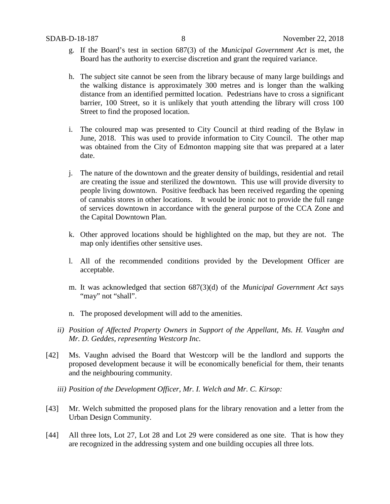- g. If the Board's test in section 687(3) of the *Municipal Government Act* is met, the Board has the authority to exercise discretion and grant the required variance.
- h. The subject site cannot be seen from the library because of many large buildings and the walking distance is approximately 300 metres and is longer than the walking distance from an identified permitted location. Pedestrians have to cross a significant barrier, 100 Street, so it is unlikely that youth attending the library will cross 100 Street to find the proposed location.
- i. The coloured map was presented to City Council at third reading of the Bylaw in June, 2018. This was used to provide information to City Council. The other map was obtained from the City of Edmonton mapping site that was prepared at a later date.
- j. The nature of the downtown and the greater density of buildings, residential and retail are creating the issue and sterilized the downtown. This use will provide diversity to people living downtown. Positive feedback has been received regarding the opening of cannabis stores in other locations. It would be ironic not to provide the full range of services downtown in accordance with the general purpose of the CCA Zone and the Capital Downtown Plan.
- k. Other approved locations should be highlighted on the map, but they are not. The map only identifies other sensitive uses.
- l. All of the recommended conditions provided by the Development Officer are acceptable.
- m. It was acknowledged that section 687(3)(d) of the *Municipal Government Act* says "may" not "shall".
- n. The proposed development will add to the amenities.
- *ii) Position of Affected Property Owners in Support of the Appellant, Ms. H. Vaughn and Mr. D. Geddes, representing Westcorp Inc.*
- [42] Ms. Vaughn advised the Board that Westcorp will be the landlord and supports the proposed development because it will be economically beneficial for them, their tenants and the neighbouring community.
	- *iii) Position of the Development Officer, Mr. I. Welch and Mr. C. Kirsop:*
- [43] Mr. Welch submitted the proposed plans for the library renovation and a letter from the Urban Design Community.
- [44] All three lots, Lot 27, Lot 28 and Lot 29 were considered as one site. That is how they are recognized in the addressing system and one building occupies all three lots.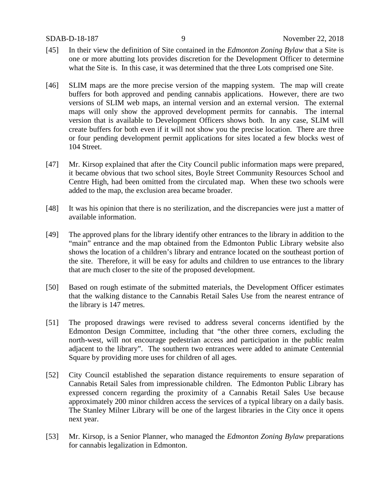- [45] In their view the definition of Site contained in the *Edmonton Zoning Bylaw* that a Site is one or more abutting lots provides discretion for the Development Officer to determine what the Site is. In this case, it was determined that the three Lots comprised one Site.
- [46] SLIM maps are the more precise version of the mapping system. The map will create buffers for both approved and pending cannabis applications. However, there are two versions of SLIM web maps, an internal version and an external version. The external maps will only show the approved development permits for cannabis. The internal version that is available to Development Officers shows both. In any case, SLIM will create buffers for both even if it will not show you the precise location. There are three or four pending development permit applications for sites located a few blocks west of 104 Street.
- [47] Mr. Kirsop explained that after the City Council public information maps were prepared, it became obvious that two school sites, Boyle Street Community Resources School and Centre High, had been omitted from the circulated map. When these two schools were added to the map, the exclusion area became broader.
- [48] It was his opinion that there is no sterilization, and the discrepancies were just a matter of available information.
- [49] The approved plans for the library identify other entrances to the library in addition to the "main" entrance and the map obtained from the Edmonton Public Library website also shows the location of a children's library and entrance located on the southeast portion of the site. Therefore, it will be easy for adults and children to use entrances to the library that are much closer to the site of the proposed development.
- [50] Based on rough estimate of the submitted materials, the Development Officer estimates that the walking distance to the Cannabis Retail Sales Use from the nearest entrance of the library is 147 metres.
- [51] The proposed drawings were revised to address several concerns identified by the Edmonton Design Committee, including that "the other three corners, excluding the north-west, will not encourage pedestrian access and participation in the public realm adjacent to the library". The southern two entrances were added to animate Centennial Square by providing more uses for children of all ages.
- [52] City Council established the separation distance requirements to ensure separation of Cannabis Retail Sales from impressionable children. The Edmonton Public Library has expressed concern regarding the proximity of a Cannabis Retail Sales Use because approximately 200 minor children access the services of a typical library on a daily basis. The Stanley Milner Library will be one of the largest libraries in the City once it opens next year.
- [53] Mr. Kirsop, is a Senior Planner, who managed the *Edmonton Zoning Bylaw* preparations for cannabis legalization in Edmonton.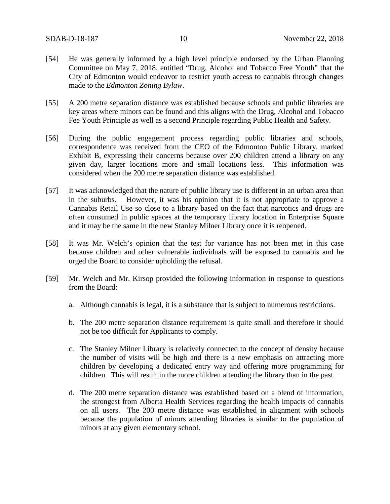- [54] He was generally informed by a high level principle endorsed by the Urban Planning Committee on May 7, 2018, entitled "Drug, Alcohol and Tobacco Free Youth" that the City of Edmonton would endeavor to restrict youth access to cannabis through changes made to the *Edmonton Zoning Bylaw*.
- [55] A 200 metre separation distance was established because schools and public libraries are key areas where minors can be found and this aligns with the Drug, Alcohol and Tobacco Fee Youth Principle as well as a second Principle regarding Public Health and Safety.
- [56] During the public engagement process regarding public libraries and schools, correspondence was received from the CEO of the Edmonton Public Library, marked Exhibit B, expressing their concerns because over 200 children attend a library on any given day, larger locations more and small locations less. This information was considered when the 200 metre separation distance was established.
- [57] It was acknowledged that the nature of public library use is different in an urban area than in the suburbs. However, it was his opinion that it is not appropriate to approve a Cannabis Retail Use so close to a library based on the fact that narcotics and drugs are often consumed in public spaces at the temporary library location in Enterprise Square and it may be the same in the new Stanley Milner Library once it is reopened.
- [58] It was Mr. Welch's opinion that the test for variance has not been met in this case because children and other vulnerable individuals will be exposed to cannabis and he urged the Board to consider upholding the refusal.
- [59] Mr. Welch and Mr. Kirsop provided the following information in response to questions from the Board:
	- a. Although cannabis is legal, it is a substance that is subject to numerous restrictions.
	- b. The 200 metre separation distance requirement is quite small and therefore it should not be too difficult for Applicants to comply.
	- c. The Stanley Milner Library is relatively connected to the concept of density because the number of visits will be high and there is a new emphasis on attracting more children by developing a dedicated entry way and offering more programming for children. This will result in the more children attending the library than in the past.
	- d. The 200 metre separation distance was established based on a blend of information, the strongest from Alberta Health Services regarding the health impacts of cannabis on all users. The 200 metre distance was established in alignment with schools because the population of minors attending libraries is similar to the population of minors at any given elementary school.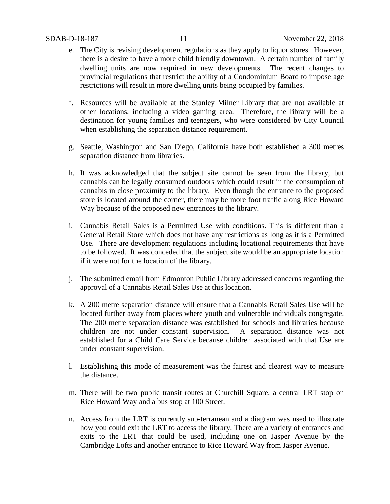- e. The City is revising development regulations as they apply to liquor stores. However, there is a desire to have a more child friendly downtown. A certain number of family dwelling units are now required in new developments. The recent changes to provincial regulations that restrict the ability of a Condominium Board to impose age restrictions will result in more dwelling units being occupied by families.
- f. Resources will be available at the Stanley Milner Library that are not available at other locations, including a video gaming area. Therefore, the library will be a destination for young families and teenagers, who were considered by City Council when establishing the separation distance requirement.
- g. Seattle, Washington and San Diego, California have both established a 300 metres separation distance from libraries.
- h. It was acknowledged that the subject site cannot be seen from the library, but cannabis can be legally consumed outdoors which could result in the consumption of cannabis in close proximity to the library. Even though the entrance to the proposed store is located around the corner, there may be more foot traffic along Rice Howard Way because of the proposed new entrances to the library.
- i. Cannabis Retail Sales is a Permitted Use with conditions. This is different than a General Retail Store which does not have any restrictions as long as it is a Permitted Use. There are development regulations including locational requirements that have to be followed. It was conceded that the subject site would be an appropriate location if it were not for the location of the library.
- j. The submitted email from Edmonton Public Library addressed concerns regarding the approval of a Cannabis Retail Sales Use at this location.
- k. A 200 metre separation distance will ensure that a Cannabis Retail Sales Use will be located further away from places where youth and vulnerable individuals congregate. The 200 metre separation distance was established for schools and libraries because children are not under constant supervision. A separation distance was not established for a Child Care Service because children associated with that Use are under constant supervision.
- l. Establishing this mode of measurement was the fairest and clearest way to measure the distance.
- m. There will be two public transit routes at Churchill Square, a central LRT stop on Rice Howard Way and a bus stop at 100 Street.
- n. Access from the LRT is currently sub-terranean and a diagram was used to illustrate how you could exit the LRT to access the library. There are a variety of entrances and exits to the LRT that could be used, including one on Jasper Avenue by the Cambridge Lofts and another entrance to Rice Howard Way from Jasper Avenue.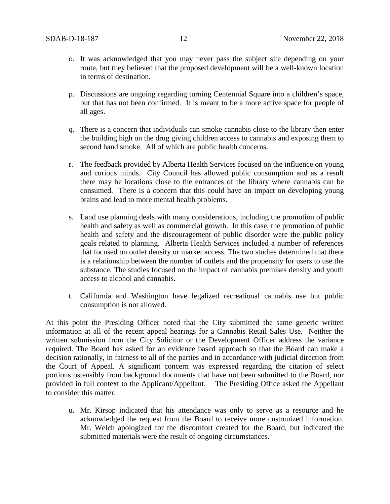- o. It was acknowledged that you may never pass the subject site depending on your route, but they believed that the proposed development will be a well-known location in terms of destination.
- p. Discussions are ongoing regarding turning Centennial Square into a children's space, but that has not been confirmed. It is meant to be a more active space for people of all ages.
- q. There is a concern that individuals can smoke cannabis close to the library then enter the building high on the drug giving children access to cannabis and exposing them to second hand smoke. All of which are public health concerns.
- r. The feedback provided by Alberta Health Services focused on the influence on young and curious minds. City Council has allowed public consumption and as a result there may be locations close to the entrances of the library where cannabis can be consumed. There is a concern that this could have an impact on developing young brains and lead to more mental health problems.
- s. Land use planning deals with many considerations, including the promotion of public health and safety as well as commercial growth. In this case, the promotion of public health and safety and the discouragement of public disorder were the public policy goals related to planning. Alberta Health Services included a number of references that focused on outlet density or market access. The two studies determined that there is a relationship between the number of outlets and the propensity for users to use the substance. The studies focused on the impact of cannabis premises density and youth access to alcohol and cannabis.
- t. California and Washington have legalized recreational cannabis use but public consumption is not allowed.

At this point the Presiding Officer noted that the City submitted the same generic written information at all of the recent appeal hearings for a Cannabis Retail Sales Use. Neither the written submission from the City Solicitor or the Development Officer address the variance required. The Board has asked for an evidence based approach so that the Board can make a decision rationally, in fairness to all of the parties and in accordance with judicial direction from the Court of Appeal. A significant concern was expressed regarding the citation of select portions ostensibly from background documents that have not been submitted to the Board, nor provided in full context to the Applicant/Appellant. The Presiding Office asked the Appellant to consider this matter.

u. Mr. Kirsop indicated that his attendance was only to serve as a resource and he acknowledged the request from the Board to receive more customized information. Mr. Welch apologized for the discomfort created for the Board, but indicated the submitted materials were the result of ongoing circumstances.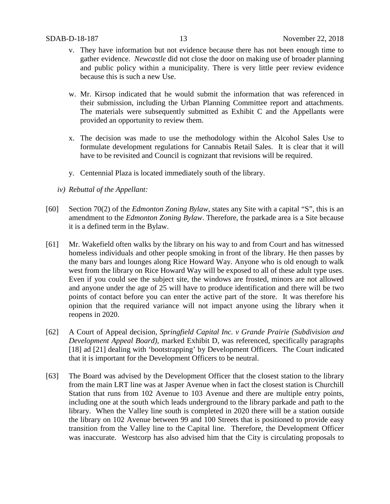- v. They have information but not evidence because there has not been enough time to gather evidence. *Newcastle* did not close the door on making use of broader planning and public policy within a municipality. There is very little peer review evidence because this is such a new Use.
- w. Mr. Kirsop indicated that he would submit the information that was referenced in their submission, including the Urban Planning Committee report and attachments. The materials were subsequently submitted as Exhibit C and the Appellants were provided an opportunity to review them.
- x. The decision was made to use the methodology within the Alcohol Sales Use to formulate development regulations for Cannabis Retail Sales. It is clear that it will have to be revisited and Council is cognizant that revisions will be required.
- y. Centennial Plaza is located immediately south of the library.
- *iv) Rebuttal of the Appellant:*
- [60] Section 70(2) of the *Edmonton Zoning Bylaw*, states any Site with a capital "S", this is an amendment to the *Edmonton Zoning Bylaw*. Therefore, the parkade area is a Site because it is a defined term in the Bylaw.
- [61] Mr. Wakefield often walks by the library on his way to and from Court and has witnessed homeless individuals and other people smoking in front of the library. He then passes by the many bars and lounges along Rice Howard Way. Anyone who is old enough to walk west from the library on Rice Howard Way will be exposed to all of these adult type uses. Even if you could see the subject site, the windows are frosted, minors are not allowed and anyone under the age of 25 will have to produce identification and there will be two points of contact before you can enter the active part of the store. It was therefore his opinion that the required variance will not impact anyone using the library when it reopens in 2020.
- [62] A Court of Appeal decision, *Springfield Capital Inc. v Grande Prairie (Subdivision and Development Appeal Board),* marked Exhibit D, was referenced, specifically paragraphs [18] ad [21] dealing with 'bootstrapping' by Development Officers. The Court indicated that it is important for the Development Officers to be neutral.
- [63] The Board was advised by the Development Officer that the closest station to the library from the main LRT line was at Jasper Avenue when in fact the closest station is Churchill Station that runs from 102 Avenue to 103 Avenue and there are multiple entry points, including one at the south which leads underground to the library parkade and path to the library. When the Valley line south is completed in 2020 there will be a station outside the library on 102 Avenue between 99 and 100 Streets that is positioned to provide easy transition from the Valley line to the Capital line. Therefore, the Development Officer was inaccurate. Westcorp has also advised him that the City is circulating proposals to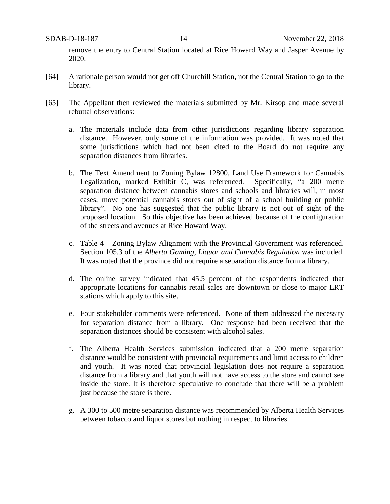remove the entry to Central Station located at Rice Howard Way and Jasper Avenue by 2020.

- [64] A rationale person would not get off Churchill Station, not the Central Station to go to the library.
- [65] The Appellant then reviewed the materials submitted by Mr. Kirsop and made several rebuttal observations:
	- a. The materials include data from other jurisdictions regarding library separation distance. However, only some of the information was provided. It was noted that some jurisdictions which had not been cited to the Board do not require any separation distances from libraries.
	- b. The Text Amendment to Zoning Bylaw 12800, Land Use Framework for Cannabis Legalization, marked Exhibit C, was referenced. Specifically, "a 200 metre separation distance between cannabis stores and schools and libraries will, in most cases, move potential cannabis stores out of sight of a school building or public library". No one has suggested that the public library is not out of sight of the proposed location. So this objective has been achieved because of the configuration of the streets and avenues at Rice Howard Way.
	- c. Table 4 Zoning Bylaw Alignment with the Provincial Government was referenced. Section 105.3 of the *Alberta Gaming, Liquor and Cannabis Regulation* was included. It was noted that the province did not require a separation distance from a library.
	- d. The online survey indicated that 45.5 percent of the respondents indicated that appropriate locations for cannabis retail sales are downtown or close to major LRT stations which apply to this site.
	- e. Four stakeholder comments were referenced. None of them addressed the necessity for separation distance from a library. One response had been received that the separation distances should be consistent with alcohol sales.
	- f. The Alberta Health Services submission indicated that a 200 metre separation distance would be consistent with provincial requirements and limit access to children and youth. It was noted that provincial legislation does not require a separation distance from a library and that youth will not have access to the store and cannot see inside the store. It is therefore speculative to conclude that there will be a problem just because the store is there.
	- g. A 300 to 500 metre separation distance was recommended by Alberta Health Services between tobacco and liquor stores but nothing in respect to libraries.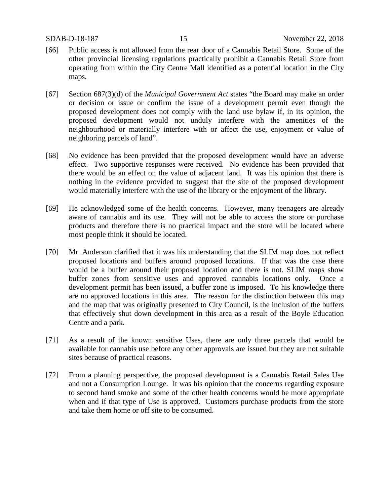- [66] Public access is not allowed from the rear door of a Cannabis Retail Store. Some of the other provincial licensing regulations practically prohibit a Cannabis Retail Store from operating from within the City Centre Mall identified as a potential location in the City maps.
- [67] Section 687(3)(d) of the *Municipal Government Act* states "the Board may make an order or decision or issue or confirm the issue of a development permit even though the proposed development does not comply with the land use bylaw if, in its opinion, the proposed development would not unduly interfere with the amenities of the neighbourhood or materially interfere with or affect the use, enjoyment or value of neighboring parcels of land".
- [68] No evidence has been provided that the proposed development would have an adverse effect. Two supportive responses were received. No evidence has been provided that there would be an effect on the value of adjacent land. It was his opinion that there is nothing in the evidence provided to suggest that the site of the proposed development would materially interfere with the use of the library or the enjoyment of the library.
- [69] He acknowledged some of the health concerns. However, many teenagers are already aware of cannabis and its use. They will not be able to access the store or purchase products and therefore there is no practical impact and the store will be located where most people think it should be located.
- [70] Mr. Anderson clarified that it was his understanding that the SLIM map does not reflect proposed locations and buffers around proposed locations. If that was the case there would be a buffer around their proposed location and there is not. SLIM maps show buffer zones from sensitive uses and approved cannabis locations only. Once a development permit has been issued, a buffer zone is imposed. To his knowledge there are no approved locations in this area. The reason for the distinction between this map and the map that was originally presented to City Council, is the inclusion of the buffers that effectively shut down development in this area as a result of the Boyle Education Centre and a park.
- [71] As a result of the known sensitive Uses, there are only three parcels that would be available for cannabis use before any other approvals are issued but they are not suitable sites because of practical reasons.
- [72] From a planning perspective, the proposed development is a Cannabis Retail Sales Use and not a Consumption Lounge. It was his opinion that the concerns regarding exposure to second hand smoke and some of the other health concerns would be more appropriate when and if that type of Use is approved. Customers purchase products from the store and take them home or off site to be consumed.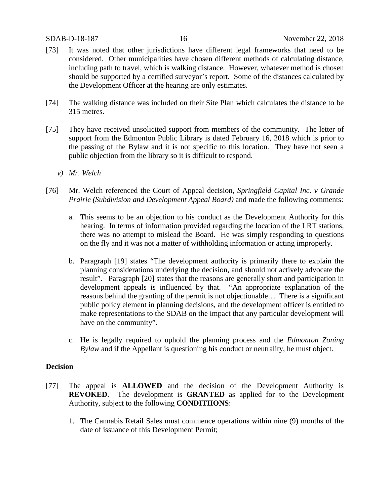- [73] It was noted that other jurisdictions have different legal frameworks that need to be considered. Other municipalities have chosen different methods of calculating distance, including path to travel, which is walking distance. However, whatever method is chosen should be supported by a certified surveyor's report. Some of the distances calculated by the Development Officer at the hearing are only estimates.
- [74] The walking distance was included on their Site Plan which calculates the distance to be 315 metres.
- [75] They have received unsolicited support from members of the community. The letter of support from the Edmonton Public Library is dated February 16, 2018 which is prior to the passing of the Bylaw and it is not specific to this location. They have not seen a public objection from the library so it is difficult to respond.
	- *v) Mr. Welch*
- [76] Mr. Welch referenced the Court of Appeal decision, *Springfield Capital Inc. v Grande Prairie (Subdivision and Development Appeal Board)* and made the following comments:
	- a. This seems to be an objection to his conduct as the Development Authority for this hearing. In terms of information provided regarding the location of the LRT stations, there was no attempt to mislead the Board. He was simply responding to questions on the fly and it was not a matter of withholding information or acting improperly.
	- b. Paragraph [19] states "The development authority is primarily there to explain the planning considerations underlying the decision, and should not actively advocate the result". Paragraph [20] states that the reasons are generally short and participation in development appeals is influenced by that. "An appropriate explanation of the reasons behind the granting of the permit is not objectionable… There is a significant public policy element in planning decisions, and the development officer is entitled to make representations to the SDAB on the impact that any particular development will have on the community".
	- c. He is legally required to uphold the planning process and the *Edmonton Zoning Bylaw* and if the Appellant is questioning his conduct or neutrality, he must object.

#### **Decision**

- [77] The appeal is **ALLOWED** and the decision of the Development Authority is **REVOKED**. The development is **GRANTED** as applied for to the Development Authority, subject to the following **CONDITIIONS**:
	- 1. The Cannabis Retail Sales must commence operations within nine (9) months of the date of issuance of this Development Permit;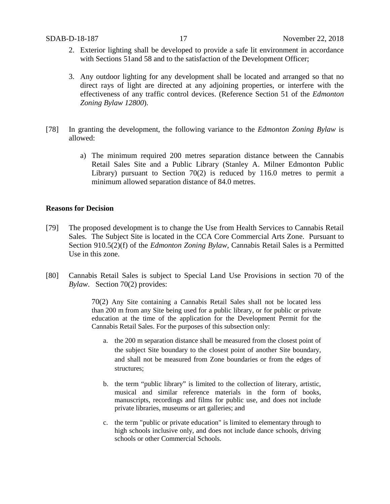- 2. Exterior lighting shall be developed to provide a safe lit environment in accordance with Sections 51 and 58 and to the satisfaction of the Development Officer;
- 3. Any outdoor lighting for any development shall be located and arranged so that no direct rays of light are directed at any adjoining properties, or interfere with the effectiveness of any traffic control devices. (Reference Section 51 of the *Edmonton Zoning Bylaw 12800*).
- [78] In granting the development, the following variance to the *Edmonton Zoning Bylaw* is allowed:
	- a) The minimum required 200 metres separation distance between the Cannabis Retail Sales Site and a Public Library (Stanley A. Milner Edmonton Public Library) pursuant to Section 70(2) is reduced by 116.0 metres to permit a minimum allowed separation distance of 84.0 metres.

#### **Reasons for Decision**

- [79] The proposed development is to change the Use from Health Services to Cannabis Retail Sales. The Subject Site is located in the CCA Core Commercial Arts Zone. Pursuant to Section 910.5(2)(f) of the *Edmonton Zoning Bylaw*, Cannabis Retail Sales is a Permitted Use in this zone.
- [80] Cannabis Retail Sales is subject to Special Land Use Provisions in section 70 of the *Bylaw*. Section 70(2) provides:

70(2) Any Site containing a Cannabis Retail Sales shall not be located less than [200 m](javascript:void(0);) from any Site being used for a public library, or for public or private education at the time of the application for the Development Permit for the Cannabis Retail Sales. For the purposes of this subsection only:

- a. the [200 m](javascript:void(0);) separation distance shall be measured from the closest point of the subject Site boundary to the closest point of another Site boundary, and shall not be measured from Zone boundaries or from the edges of structures;
- b. the term "public library" is limited to the collection of literary, artistic, musical and similar reference materials in the form of books, manuscripts, recordings and films for public use, and does not include private libraries, museums or art galleries; and
- c. the term "public or private education" is limited to elementary through to high schools inclusive only, and does not include dance schools, driving schools or other Commercial Schools.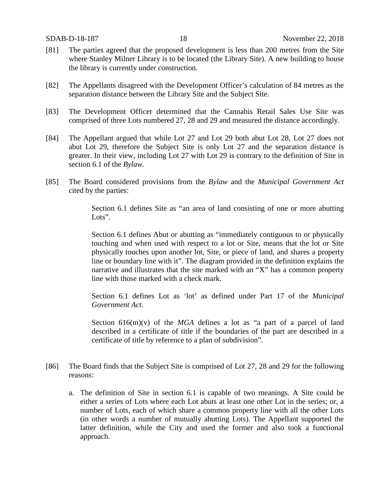- [81] The parties agreed that the proposed development is less than 200 metres from the Site where Stanley Milner Library is to be located (the Library Site). A new building to house the library is currently under construction.
- [82] The Appellants disagreed with the Development Officer's calculation of 84 metres as the separation distance between the Library Site and the Subject Site.
- [83] The Development Officer determined that the Cannabis Retail Sales Use Site was comprised of three Lots numbered 27, 28 and 29 and measured the distance accordingly.
- [84] The Appellant argued that while Lot 27 and Lot 29 both abut Lot 28, Lot 27 does not abut Lot 29, therefore the Subject Site is only Lot 27 and the separation distance is greater. In their view, including Lot 27 with Lot 29 is contrary to the definition of Site in section 6.1 of the *Bylaw.*
- [85] The Board considered provisions from the *Bylaw* and the *Municipal Government Act* cited by the parties:

Section 6.1 defines Site as "an area of land consisting of one or more abutting Lots".

Section 6.1 defines Abut or abutting as "immediately contiguous to or physically touching and when used with respect to a lot or Site, means that the lot or Site physically touches upon another lot, Site, or piece of land, and shares a property line or boundary line with it". The diagram provided in the definition explains the narrative and illustrates that the site marked with an "X" has a common property line with those marked with a check mark.

Section 6.1 defines Lot as 'lot' as defined under Part 17 of the *Municipal Government Act*.

Section  $616(m)(v)$  of the *MGA* defines a lot as "a part of a parcel of land described in a certificate of title if the boundaries of the part are described in a certificate of title by reference to a plan of subdivision".

- [86] The Board finds that the Subject Site is comprised of Lot 27, 28 and 29 for the following reasons:
	- a. The definition of Site in section 6.1 is capable of two meanings. A Site could be either a series of Lots where each Lot abuts at least one other Lot in the series; or, a number of Lots, each of which share a common property line with all the other Lots (in other words a number of mutually abutting Lots). The Appellant supported the latter definition, while the City and used the former and also took a functional approach.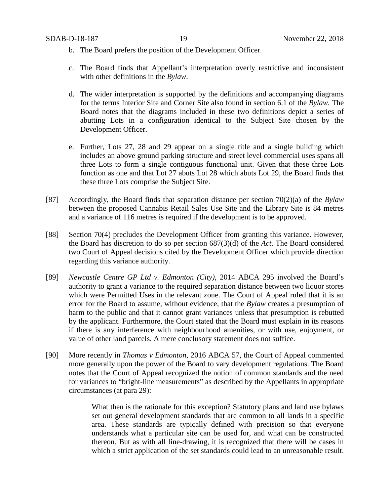- b. The Board prefers the position of the Development Officer.
- c. The Board finds that Appellant's interpretation overly restrictive and inconsistent with other definitions in the *Bylaw*.
- d. The wider interpretation is supported by the definitions and accompanying diagrams for the terms Interior Site and Corner Site also found in section 6.1 of the *Bylaw.* The Board notes that the diagrams included in these two definitions depict a series of abutting Lots in a configuration identical to the Subject Site chosen by the Development Officer.
- e. Further, Lots 27, 28 and 29 appear on a single title and a single building which includes an above ground parking structure and street level commercial uses spans all three Lots to form a single contiguous functional unit. Given that these three Lots function as one and that Lot 27 abuts Lot 28 which abuts Lot 29, the Board finds that these three Lots comprise the Subject Site.
- [87] Accordingly, the Board finds that separation distance per section 70(2)(a) of the *Bylaw* between the proposed Cannabis Retail Sales Use Site and the Library Site is 84 metres and a variance of 116 metres is required if the development is to be approved.
- [88] Section 70(4) precludes the Development Officer from granting this variance. However, the Board has discretion to do so per section 687(3)(d) of the *Act*. The Board considered two Court of Appeal decisions cited by the Development Officer which provide direction regarding this variance authority.
- [89] *Newcastle Centre GP Ltd v. Edmonton (City),* 2014 ABCA 295 involved the Board's authority to grant a variance to the required separation distance between two liquor stores which were Permitted Uses in the relevant zone. The Court of Appeal ruled that it is an error for the Board to assume, without evidence, that the *Bylaw* creates a presumption of harm to the public and that it cannot grant variances unless that presumption is rebutted by the applicant. Furthermore, the Court stated that the Board must explain in its reasons if there is any interference with neighbourhood amenities, or with use, enjoyment, or value of other land parcels. A mere conclusory statement does not suffice.
- [90] More recently in *Thomas v Edmonton*, 2016 ABCA 57, the Court of Appeal commented more generally upon the power of the Board to vary development regulations. The Board notes that the Court of Appeal recognized the notion of common standards and the need for variances to "bright-line measurements" as described by the Appellants in appropriate circumstances (at para 29):

What then is the rationale for this exception? Statutory plans and land use bylaws set out general development standards that are common to all lands in a specific area. These standards are typically defined with precision so that everyone understands what a particular site can be used for, and what can be constructed thereon. But as with all line-drawing, it is recognized that there will be cases in which a strict application of the set standards could lead to an unreasonable result.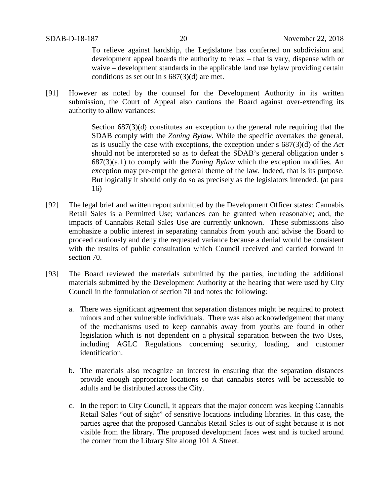To relieve against hardship, the Legislature has conferred on subdivision and development appeal boards the authority to relax – that is vary, dispense with or waive – development standards in the applicable land use bylaw providing certain conditions as set out in s 687(3)(d) are met.

[91] However as noted by the counsel for the Development Authority in its written submission, the Court of Appeal also cautions the Board against over-extending its authority to allow variances:

> Section  $687(3)(d)$  constitutes an exception to the general rule requiring that the SDAB comply with the *Zoning Bylaw*. While the specific overtakes the general, as is usually the case with exceptions, the exception under s 687(3)(d) of the *Act*  should not be interpreted so as to defeat the SDAB's general obligation under s 687(3)(a.1) to comply with the *Zoning Bylaw* which the exception modifies. An exception may pre-empt the general theme of the law. Indeed, that is its purpose. But logically it should only do so as precisely as the legislators intended. **(**at para 16)

- [92] The legal brief and written report submitted by the Development Officer states: Cannabis Retail Sales is a Permitted Use; variances can be granted when reasonable; and, the impacts of Cannabis Retail Sales Use are currently unknown. These submissions also emphasize a public interest in separating cannabis from youth and advise the Board to proceed cautiously and deny the requested variance because a denial would be consistent with the results of public consultation which Council received and carried forward in section 70.
- [93] The Board reviewed the materials submitted by the parties, including the additional materials submitted by the Development Authority at the hearing that were used by City Council in the formulation of section 70 and notes the following:
	- a. There was significant agreement that separation distances might be required to protect minors and other vulnerable individuals. There was also acknowledgement that many of the mechanisms used to keep cannabis away from youths are found in other legislation which is not dependent on a physical separation between the two Uses, including AGLC Regulations concerning security, loading, and customer identification.
	- b. The materials also recognize an interest in ensuring that the separation distances provide enough appropriate locations so that cannabis stores will be accessible to adults and be distributed across the City.
	- c. In the report to City Council, it appears that the major concern was keeping Cannabis Retail Sales "out of sight" of sensitive locations including libraries. In this case, the parties agree that the proposed Cannabis Retail Sales is out of sight because it is not visible from the library. The proposed development faces west and is tucked around the corner from the Library Site along 101 A Street.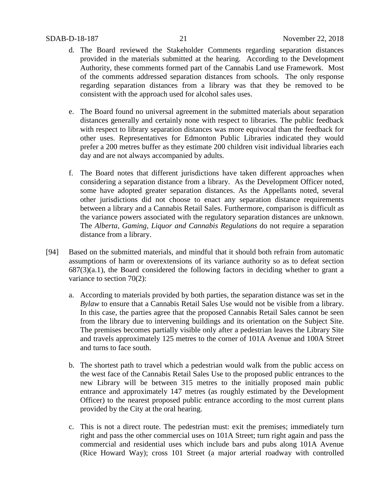- d. The Board reviewed the Stakeholder Comments regarding separation distances provided in the materials submitted at the hearing. According to the Development Authority, these comments formed part of the Cannabis Land use Framework. Most of the comments addressed separation distances from schools. The only response regarding separation distances from a library was that they be removed to be consistent with the approach used for alcohol sales uses.
- e. The Board found no universal agreement in the submitted materials about separation distances generally and certainly none with respect to libraries. The public feedback with respect to library separation distances was more equivocal than the feedback for other uses. Representatives for Edmonton Public Libraries indicated they would prefer a 200 metres buffer as they estimate 200 children visit individual libraries each day and are not always accompanied by adults.
- f. The Board notes that different jurisdictions have taken different approaches when considering a separation distance from a library. As the Development Officer noted, some have adopted greater separation distances. As the Appellants noted, several other jurisdictions did not choose to enact any separation distance requirements between a library and a Cannabis Retail Sales. Furthermore, comparison is difficult as the variance powers associated with the regulatory separation distances are unknown. The *Alberta, Gaming, Liquor and Cannabis Regulations* do not require a separation distance from a library.
- [94] Based on the submitted materials, and mindful that it should both refrain from automatic assumptions of harm or overextensions of its variance authority so as to defeat section  $687(3)(a.1)$ , the Board considered the following factors in deciding whether to grant a variance to section 70(2):
	- a. According to materials provided by both parties, the separation distance was set in the *Bylaw* to ensure that a Cannabis Retail Sales Use would not be visible from a library. In this case, the parties agree that the proposed Cannabis Retail Sales cannot be seen from the library due to intervening buildings and its orientation on the Subject Site. The premises becomes partially visible only after a pedestrian leaves the Library Site and travels approximately 125 metres to the corner of 101A Avenue and 100A Street and turns to face south.
	- b. The shortest path to travel which a pedestrian would walk from the public access on the west face of the Cannabis Retail Sales Use to the proposed public entrances to the new Library will be between 315 metres to the initially proposed main public entrance and approximately 147 metres (as roughly estimated by the Development Officer) to the nearest proposed public entrance according to the most current plans provided by the City at the oral hearing.
	- c. This is not a direct route. The pedestrian must: exit the premises; immediately turn right and pass the other commercial uses on 101A Street; turn right again and pass the commercial and residential uses which include bars and pubs along 101A Avenue (Rice Howard Way); cross 101 Street (a major arterial roadway with controlled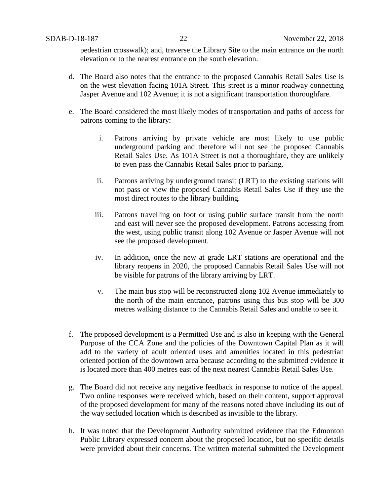pedestrian crosswalk); and, traverse the Library Site to the main entrance on the north elevation or to the nearest entrance on the south elevation.

- d. The Board also notes that the entrance to the proposed Cannabis Retail Sales Use is on the west elevation facing 101A Street. This street is a minor roadway connecting Jasper Avenue and 102 Avenue; it is not a significant transportation thoroughfare.
- e. The Board considered the most likely modes of transportation and paths of access for patrons coming to the library:
	- i. Patrons arriving by private vehicle are most likely to use public underground parking and therefore will not see the proposed Cannabis Retail Sales Use. As 101A Street is not a thoroughfare, they are unlikely to even pass the Cannabis Retail Sales prior to parking.
	- ii. Patrons arriving by underground transit (LRT) to the existing stations will not pass or view the proposed Cannabis Retail Sales Use if they use the most direct routes to the library building.
	- iii. Patrons travelling on foot or using public surface transit from the north and east will never see the proposed development. Patrons accessing from the west, using public transit along 102 Avenue or Jasper Avenue will not see the proposed development.
	- iv. In addition, once the new at grade LRT stations are operational and the library reopens in 2020, the proposed Cannabis Retail Sales Use will not be visible for patrons of the library arriving by LRT.
	- v. The main bus stop will be reconstructed along 102 Avenue immediately to the north of the main entrance, patrons using this bus stop will be 300 metres walking distance to the Cannabis Retail Sales and unable to see it.
- f. The proposed development is a Permitted Use and is also in keeping with the General Purpose of the CCA Zone and the policies of the Downtown Capital Plan as it will add to the variety of adult oriented uses and amenities located in this pedestrian oriented portion of the downtown area because according to the submitted evidence it is located more than 400 metres east of the next nearest Cannabis Retail Sales Use.
- g. The Board did not receive any negative feedback in response to notice of the appeal. Two online responses were received which, based on their content, support approval of the proposed development for many of the reasons noted above including its out of the way secluded location which is described as invisible to the library.
- h. It was noted that the Development Authority submitted evidence that the Edmonton Public Library expressed concern about the proposed location, but no specific details were provided about their concerns. The written material submitted the Development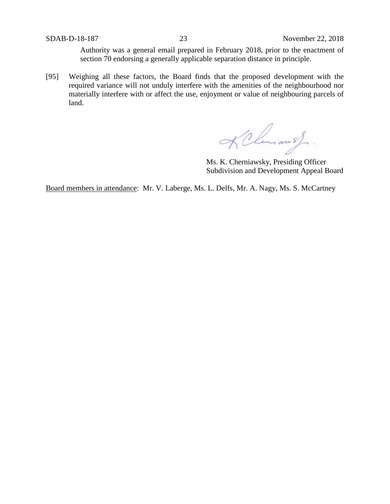Authority was a general email prepared in February 2018, prior to the enactment of section 70 endorsing a generally applicable separation distance in principle.

[95] Weighing all these factors, the Board finds that the proposed development with the required variance will not unduly interfere with the amenities of the neighbourhood nor materially interfere with or affect the use, enjoyment or value of neighbouring parcels of land.

KChmansf.

Ms. K. Cherniawsky, Presiding Officer Subdivision and Development Appeal Board

Board members in attendance: Mr. V. Laberge, Ms. L. Delfs, Mr. A. Nagy, Ms. S. McCartney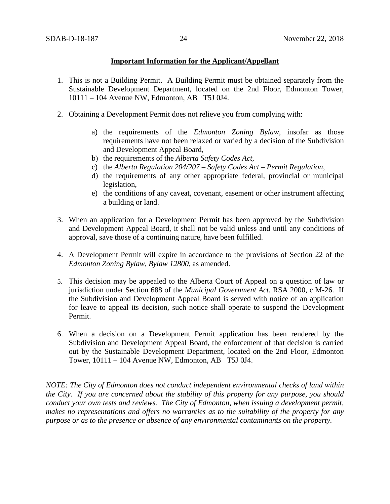#### **Important Information for the Applicant/Appellant**

- 1. This is not a Building Permit. A Building Permit must be obtained separately from the Sustainable Development Department, located on the 2nd Floor, Edmonton Tower, 10111 – 104 Avenue NW, Edmonton, AB T5J 0J4.
- 2. Obtaining a Development Permit does not relieve you from complying with:
	- a) the requirements of the *Edmonton Zoning Bylaw*, insofar as those requirements have not been relaxed or varied by a decision of the Subdivision and Development Appeal Board,
	- b) the requirements of the *Alberta Safety Codes Act*,
	- c) the *Alberta Regulation 204/207 – Safety Codes Act – Permit Regulation*,
	- d) the requirements of any other appropriate federal, provincial or municipal legislation,
	- e) the conditions of any caveat, covenant, easement or other instrument affecting a building or land.
- 3. When an application for a Development Permit has been approved by the Subdivision and Development Appeal Board, it shall not be valid unless and until any conditions of approval, save those of a continuing nature, have been fulfilled.
- 4. A Development Permit will expire in accordance to the provisions of Section 22 of the *Edmonton Zoning Bylaw, Bylaw 12800*, as amended.
- 5. This decision may be appealed to the Alberta Court of Appeal on a question of law or jurisdiction under Section 688 of the *Municipal Government Act*, RSA 2000, c M-26. If the Subdivision and Development Appeal Board is served with notice of an application for leave to appeal its decision, such notice shall operate to suspend the Development Permit.
- 6. When a decision on a Development Permit application has been rendered by the Subdivision and Development Appeal Board, the enforcement of that decision is carried out by the Sustainable Development Department, located on the 2nd Floor, Edmonton Tower, 10111 – 104 Avenue NW, Edmonton, AB T5J 0J4.

*NOTE: The City of Edmonton does not conduct independent environmental checks of land within the City. If you are concerned about the stability of this property for any purpose, you should conduct your own tests and reviews. The City of Edmonton, when issuing a development permit, makes no representations and offers no warranties as to the suitability of the property for any purpose or as to the presence or absence of any environmental contaminants on the property.*